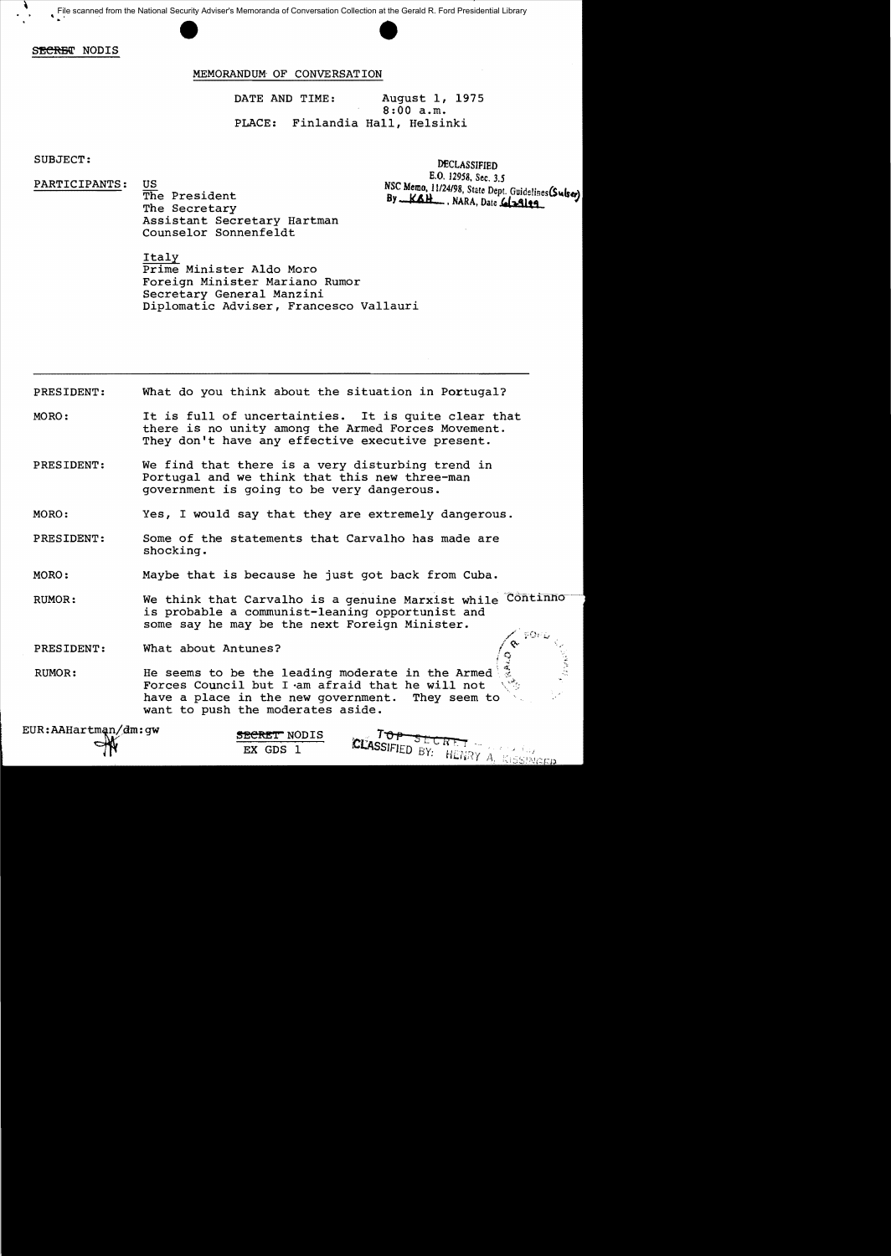File scanned from the National Security Adviser's Memoranda of Conversation Collection at the Gerald R. Ford Presidential Library<br>And Scanned from the National Security Adviser's Memoranda of Conversation Collection at the

SECRET NODIS

## MEMORANDUM- OF CONVERSATION

DATE AND TIME: August 1, 1975 8:00 a.m. PLACE: Finlandia Hall, Helsinki

SUBJECT:

PARTICIPANTS:

US<br>
The President **By** *KAH*, NARA, Date **1.124198**, State Dept. Guidelines (Sulse)<br>
The Secretary Assistant Secretary Hartman Counselor Sonnenfeldt

DECLASSIFIED<br>E.O. 12958, Sec. 3.5

- SQF

TOP SECRET -

CLASSIFIED BY: HENRY A. KISSINGER

Italy Prime Minister Aldo Moro Foreign Minister Mariano Rumor Secretary General Manzini Diplomatic Adviser, Francesco Vallauri

PRESIDENT: What do you think about the situation in Portugal?

MORO: It is full of uncertainties. It is quite clear that there is no unity among the Armed Forces Movement. They don't have any effective executive present.

PRESIDENT: We find that there is a very disturbing trend in Portugal and we think that this new three-man government is going to be very dangerous.

MORO: Yes, I would say that they are extremely dangerous.

PRESIDENT: Some of the statements that Carvalho has made are shocking.

MORO: Maybe that is because he just got back from Cuba.

RUMOR: We think that Carvalho is a genuine Marxist while Continno is probable a communist-leaning opportunist and some say he may be the next Foreign Minister.

PRESIDENT: What about Antunes?

RUMOR: He seems to be the leading moderate in the Armed  $\frac{1}{\sqrt{6}}$ Forces Council but I -am afraid that he will not have a place in the new government. They seem to want to push the moderates aside.

EUR:AAHartman/dm:gw **SECRET** NODIS

EX GDS 1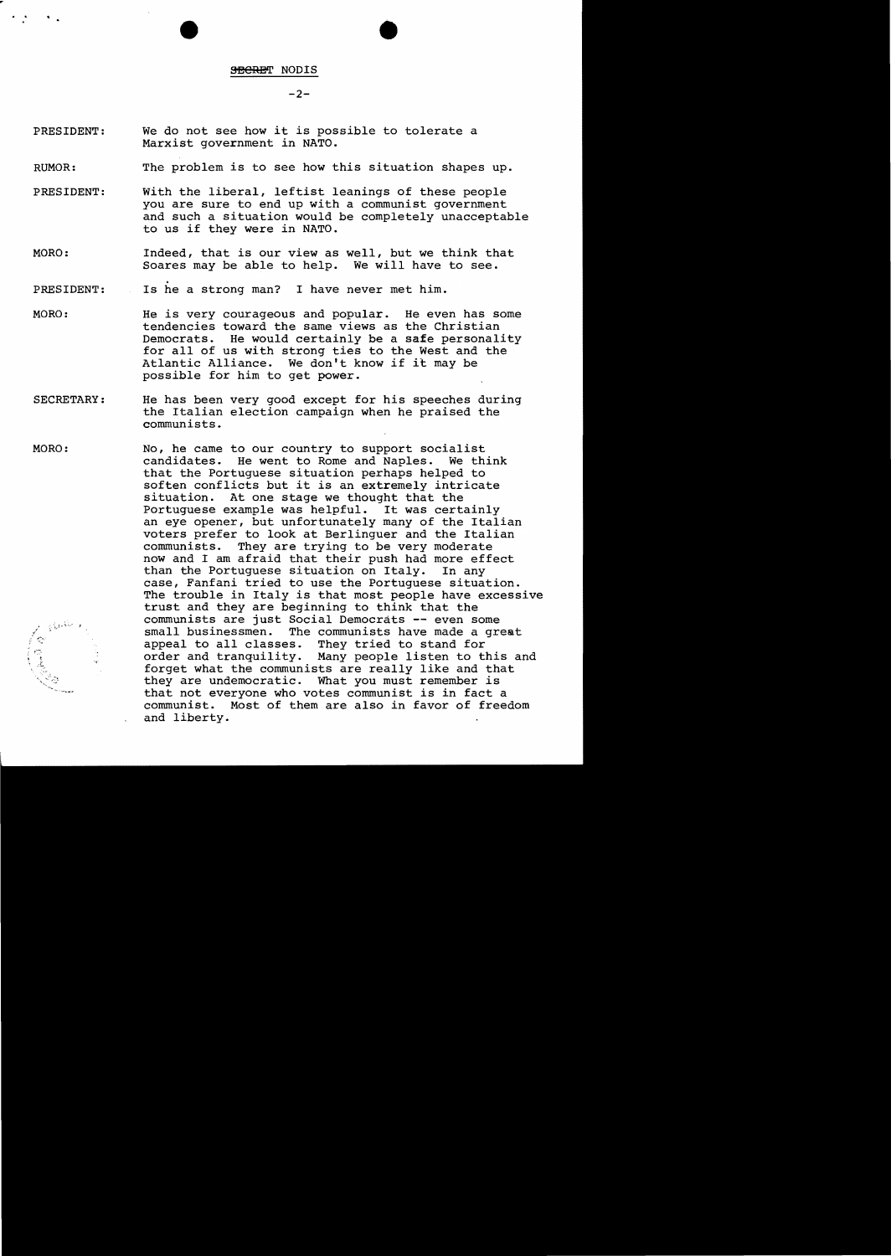$-2-$ 

- PRESIDENT: We do not see how it is possible to tolerate a Marxist government in NATO.
- RUMOR: The problem is to see how this situation shapes up.
- PRESIDENT: With the liberal, leftist leanings of these people you are sure to end up with a communist government and such a situation would be completely unacceptable to us if they were in NATO.
- MORO: Indeed, that is our view as well, but we think that Soares may be able to help. We will have to see.
- . Is he a strong man? I have never met him. PRESIDENT: in Li
- MORO: He is very courageous and popular. He even has some tendencies toward the same views as the Christian Democrats. He would certainly be a safe personality for all of us with strong ties to the West and the Atlantic Alliance. We don't know if it may be We don't know if it may be possible for him to get power.
- SECRETARY: He has been very good except for his speeches during the Italian election campaign when he praised the communists.
- No, he came to our country to support socialist<br>candidates. He went to Rome and Naples. We think MORO: candidates. He went to Rome and Naples. that the Portuguese situation perhaps helped to soften conflicts but it is an extremely intricate situation. At one stage we thought that the Portuguese example was helpful. It was certainly an eye opener, but unfortunately many of the Italian voters prefer to look at Berlinguer and the Italian They are trying to be very moderate now and I am afraid that their push had more effect<br>than the Portuguese situation on Italy. In any than the Portuguese situation on Italy. case, Fanfani tried to use the Portuguese situation. The trouble in Italy is that most people have excessive trust and they are beginning to think that the communists are just Social Democrats -- even some small businessmen. The communists have made a great appeal to all classes. They tried to stand for くやっきい They tried to stand for order and tranquility. Many people listen to this and forget what the communists are really like and that they are undemocratic. What you must remember is that not everyone who votes communist is in fact a communist. Most of them are also in favor of freedom and liberty.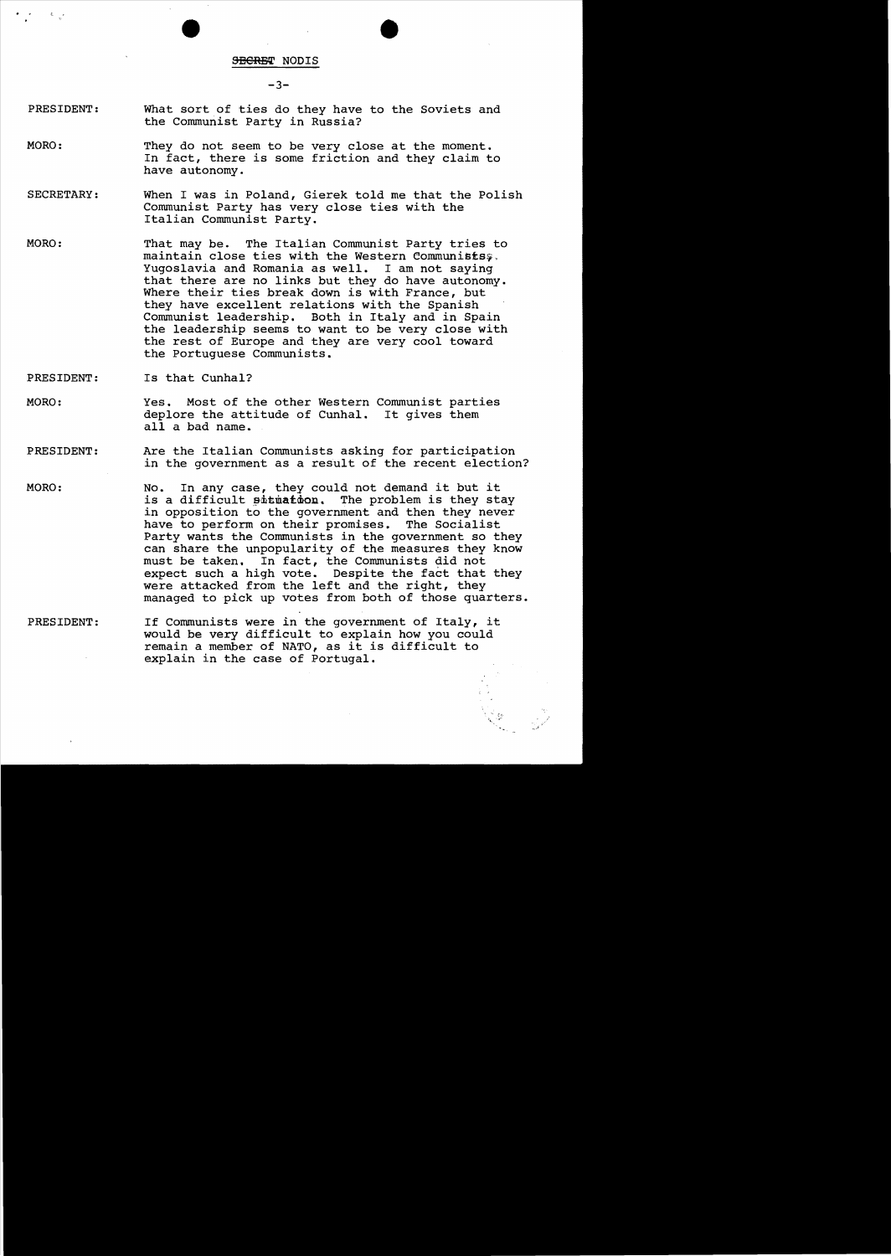$-3-$ 

- PRESIDENT: What sort of ties do they have to the Soviets and the Communist Party in Russia?
- MORO: They do not seem to be very close at the moment. In fact, there is some friction and they claim to have autonomy.
- SECRETARY: When I was in Poland, Gierek told me that the Polish Communist Party has very close ties with the Italian Communist Party.
- MORO: That may be. The Italian Communist Party tries to maintain close ties with the Western Communists;. Yugoslavia and Romania as well. I am not saying that there are no links but they do have autonomy. Where their ties break down is with France, but they have excellent relations with the Spanish Communist leadership. Both in Italy and in Spain the leadership seems to want to be very close with the rest of Europe and they are very cool toward the Portuguese Communists.
- PRESIDENT: Is that Cunhal?
- MORO: Yes. Most of the other Western Communist parties deplore the attitude of Cunhal. It gives them all a bad name.
- PRESIDENT: Are the Italian Communists asking for participation in the government as a result of the recent election?
- MORO: No. In any case, they could not demand it but it is a difficult situation. The problem is they stay in opposition to the government and then they never have to perform on their promises. The Socialist Party wants the Communists in the government so they can share the unpopularity of the measures they know must be taken. In fact, the Communists did not expect such a high vote. Despite the fact that they were attacked from the left and the right, they managed to pick up votes from both of those quarters.
- PRESIDENT: If Communists were in the government of Italy, it would be very difficult to explain how you could remain a member of NATO, as it is difficult to explain in the case of Portugal.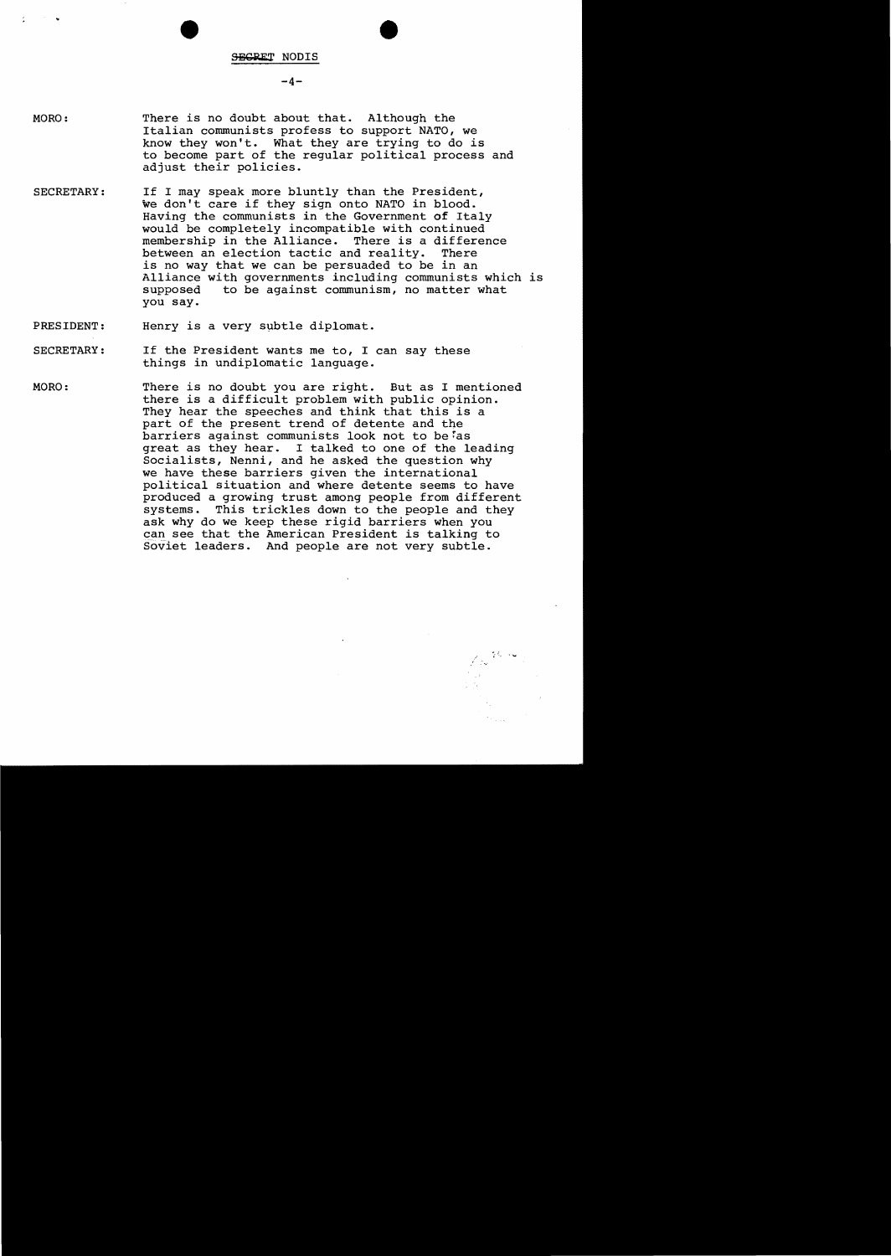## $-4-$

- MORO: There is no doubt about that. Although the Italian communists profess to support NATO, we know they won't. What they are trying to do is to become part of the regular political process and adjust their policies.
- SECRETARY: If I may speak more bluntly than the President, we don't care if they sign onto NATO in blood. Having the communists in the Government of Italy would be completely incompatible with continued<br>membership in the Alliance. There is a difference membership in the Alliance. There is a different between an election tactic and reality. There between an election tactic and reality. is no way that we can be persuaded to be in an Alliance with governments including communists which is supposed to be against communism, no matter what to be against communism, no matter what you say.

PRESIDENT: Henry is a very subtle diplomat.

- SECRETARY: If the President wants me to, I can say these things in undiplomatic language.
- MORO: There is no doubt you are right. But as I mentioned there is a difficult problem with public opinion. They hear the speeches and think that this is a part of the present trend of detente and the barriers against communists look not to be as great as they hear. I talked to one of the leading Socialists, Nenni, and he asked the question why we have these barriers given the international political situation and where detente seems to have produced a growing trust among people from different systems. This trickles down to the people and they ask why do we keep these rigid barriers when you can see that the American President is talking to soviet leaders. And people are not very subtle.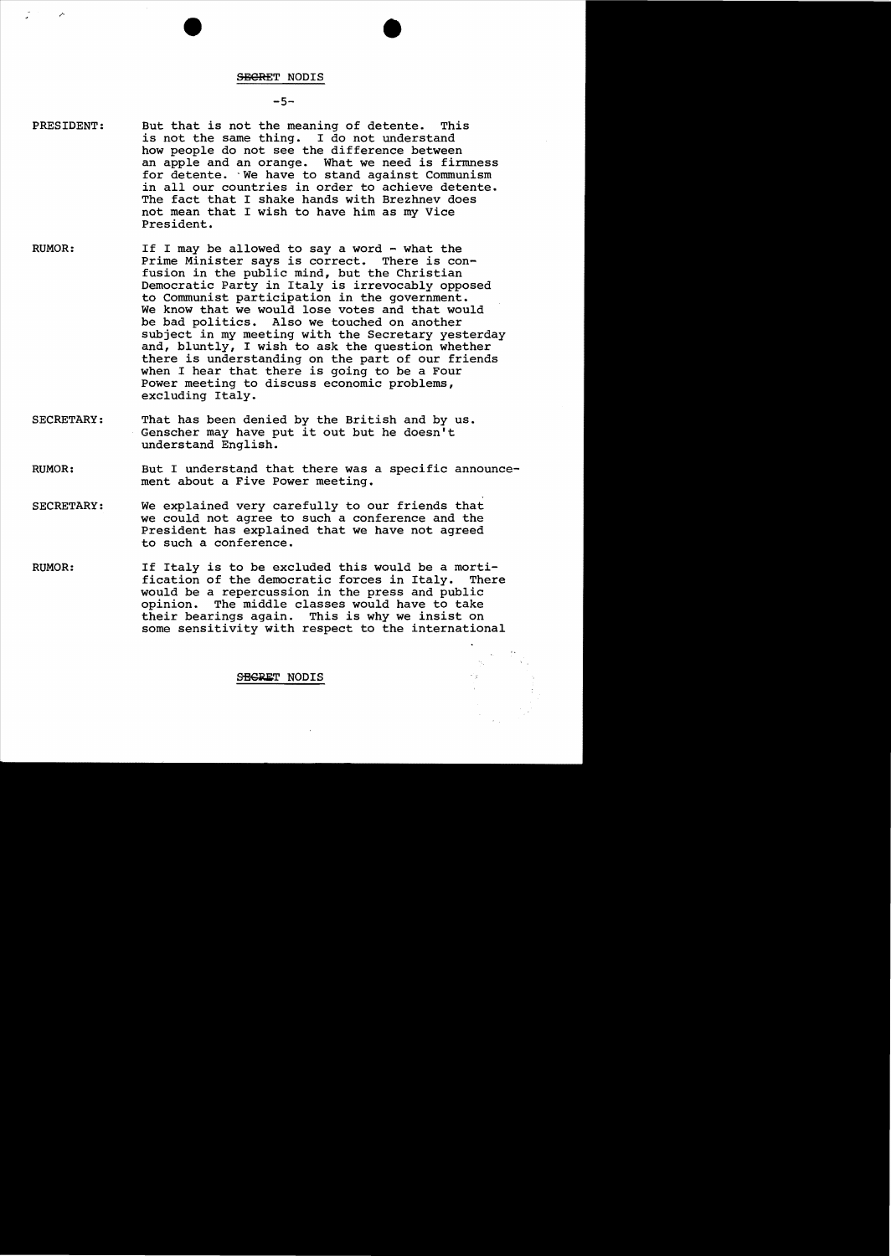#### $-5-$

- PRESIDENT: But that is not the meaning of detente. This is not the same thing. I do not understand how people do not see the difference between an apple and an orange. What we need is firmness for detente. 'We have to stand against Communism in all our countries in order to achieve detente. The fact that I shake hands with Brezhnev does not mean that I wish to have him as my Vice President.
- RUMOR: If I may be allowed to say a word - what the Prime Minister says is correct. There is confusion in the public mind, but the Christian Democratic Party in Italy is irrevocably opposed to Communist participation in the government. We know that we would lose votes and that would be bad politics. Also we touched on another subject in my meeting with the Secretary yesterday and, bluntly, I wish to ask the question whether there is understanding on the part of our friends when I hear that there is going to be a Four Power meeting to discuss economic problems, excluding Italy.
- SECRETARY: That has been denied by the British and by us. Genscher may have put it out but he doesn't understand English.
- RUMOR: But I understand that there was a specific announcement about a Five Power meeting.
- SECRETARY: We explained very carefully to our friends that we could not agree to such a conference and the President has explained that we have not agreed to such a conference.
- RUMOR: If Italy is to be excluded this would be a mortification of the democratic forces in Italy. There would be a repercussion in the press and public The middle classes would have to take their bearings again. This is why we insist on some sensitivity with respect to the international

SEGRET NODIS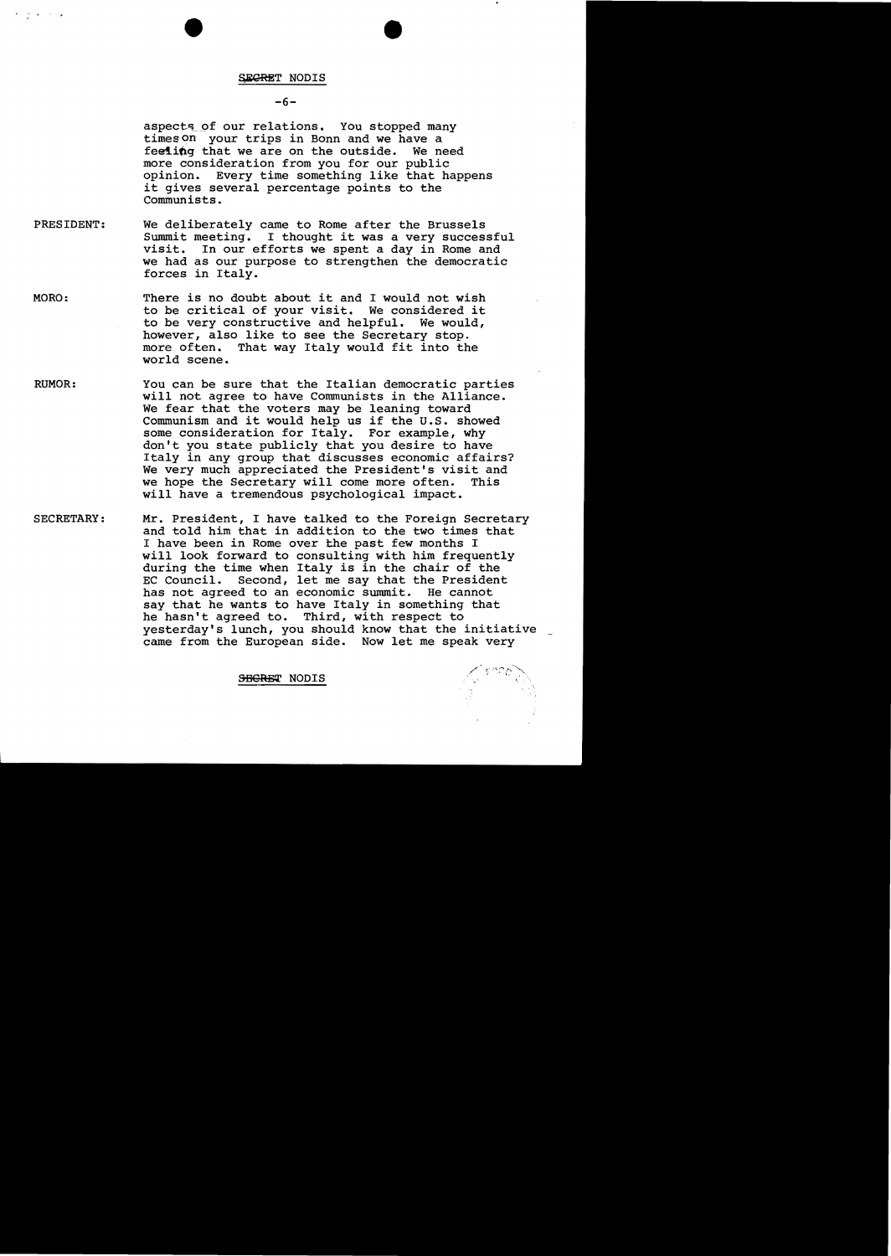#### $-6-$

aspects of our relations. You stopped many times on your trips in Bonn and we have a feeiing that we are on the outside. We need more consideration from you for our public opinion. Every time something like that happens it gives several percentage points to the Communists.

- PRESIDENT: We deliberately came to Rome after the Brussels Summit meeting. I thought it was a very successful visit. In our efforts we spent a day in Rome and we had as our purpose to strengthen the democratic forces in Italy.
- MORO: There is no doubt about it and I would not wish to be critical of your visit. We considered it to be very constructive and helpful. We would, however, also like to see the Secretary stop.<br>more often. That way Italy would fit into th That way Italy would fit into the world scene.
- RUMOR: You can be sure that the Italian democratic parties will not agree to have Communists in the Alliance. We fear that the voters may be leaning toward Communism and it would help us if the U.S. showed some consideration for Italy. For example, why don't you state publicly that you desire to have Italy in any group that discusses economic affairs? We very much appreciated the President's visit and<br>we hope the Secretary will come more often. This we hope the Secretary will come more often. will have a tremendous psychological impact.
- SECRETARY: Mr. President, I have talked to the Foreign Secretary and told him that in addition to the two times that I have been in Rome over the past few months I will look forward to consulting with him frequently during the time when Italy is in the chair of the<br>EC Council. Second, let me say that the Presiden Second, let me say that the President has not agreed to an economic summit. He cannot say that he wants to have Italy in something that he hasn't agreed to. Third, with respect to yesterday's lunch, you should know that the initiative came from the European side. Now let me speak very

SBERET NODIS

 $\sim$   $\sim$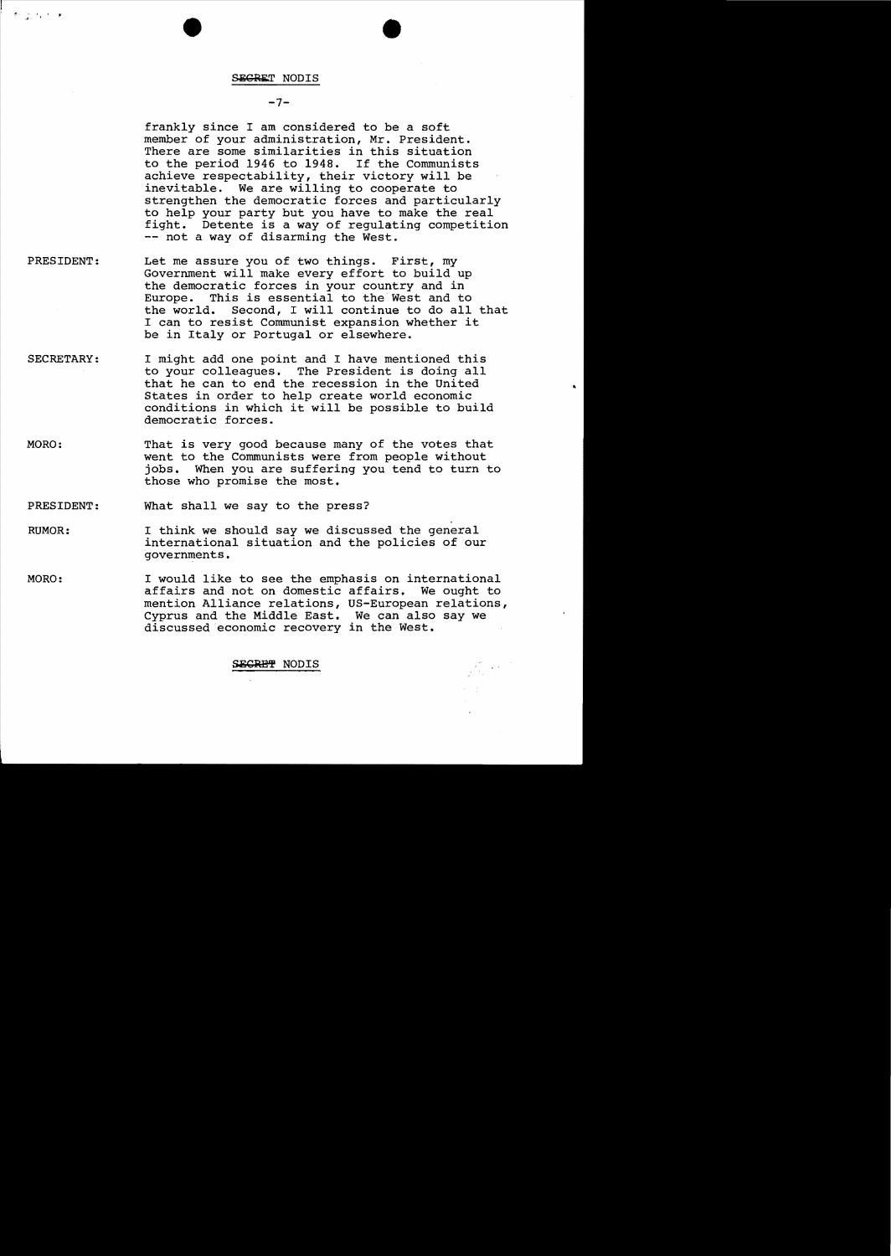かとういう

## $-7-$

frankly since I am considered to be a soft member of your administration, Mr. President. There are some similarities in this situation to the period 1946 to 1948. If the Communists achieve respectability, their victory will be inevitable. We are willing to cooperate to strengthen the democratic forces and particularly to help your party but you have to make the real fight. Detente is a way of regulating competition -- not a way of disarming the West.

- PRESIDENT: Let me assure you of two things. First, my Government will make every effort to build up the democratic forces in your country and in Europe. This is essential to the West and to the world. Second, I will continue to do all that I can to resist Communist expansion whether it be in Italy or Portugal or elsewhere.
- SECRETARY: I might add one point and I have mentioned this to your colleagues. The President is doing all that he can to end the recession in the united States in order to help create world economic conditions in which it will be possible to build democratic forces.
- MORO: That is very good because many of the votes that went to the Communists were from people without jobs. When you are suffering you tend to turn to those who promise the most.

PRESIDENT: What shall we say to the press?

- RUMOR: I think we should say we discussed the general international situation and the policies of our governments.
- MORO: I would like to see the emphasis on international affairs and not on domestic affairs. We ought to mention Alliance relations, US-European relations, Cyprus and the Middle East. We can also say we discussed economic recovery in the West.

# **ECRET NODIS**